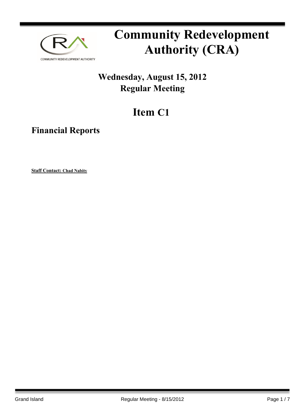

# **Community Redevelopment Authority (CRA)**

### **Wednesday, August 15, 2012 Regular Meeting**

## **Item C1**

**Financial Reports**

**Staff Contact: Chad Nabity**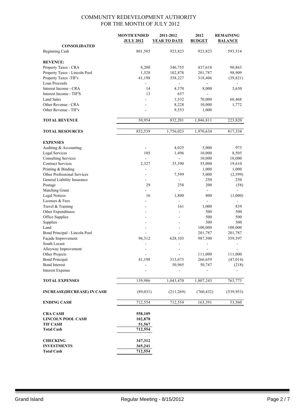|                                             | <b>MONTH ENDED</b>       | 2011-2012           | 2012               | <b>REMAINING</b>     |
|---------------------------------------------|--------------------------|---------------------|--------------------|----------------------|
|                                             | <b>JULY 2012</b>         | <b>YEAR TO DATE</b> | <b>BUDGET</b>      | <b>BALANCE</b>       |
| <b>CONSOLIDATED</b>                         |                          |                     |                    |                      |
| Beginning Cash                              | 801,585                  | 923,823             | 923,823            | 593,514              |
| <b>REVENUE:</b>                             |                          |                     |                    |                      |
| Property Taxes - CRA                        | 8,200                    | 346,755             | 437,618            | 90,863               |
| Property Taxes - Lincoln Pool               | 1,528                    | 102,878             | 201,787            | 98,909               |
| Property Taxes -TIF's                       | 41,198                   | 358,227             | 318,406            | (39, 821)            |
| Loan Proceeds                               |                          |                     |                    |                      |
| Interest Income - CRA                       | 14                       | 4,370               | 8,000              | 3,630                |
| Interest Income - TIF'S                     | 13                       | 657                 |                    |                      |
| <b>Land Sales</b>                           |                          | 1,532               | 70,000             | 68,468               |
| Other Revenue - CRA                         |                          | 8,228               | 10,000             | 1,772                |
| Other Revenue - TIF's                       |                          | 9,553               | 1,000              |                      |
|                                             |                          |                     |                    |                      |
| <b>TOTAL REVENUE</b>                        | 50,954                   | 832,201             | 1,046,811          | 223,820              |
| <b>TOTAL RESOURCES</b>                      | 852,539                  | 1,756,023           | 1,970,634          | 817,334              |
|                                             |                          |                     |                    |                      |
| <b>EXPENSES</b>                             |                          |                     |                    |                      |
| Auditing & Accounting                       | $\overline{\phantom{a}}$ | 4,025               | 5,000              | 975                  |
| Legal Services                              | 105                      | 1,496               | 10,000             | 8,505                |
| <b>Consulting Services</b>                  | $\blacksquare$           | $\blacksquare$      | 10,000             | 10,000               |
| <b>Contract Services</b>                    | 2,327                    | 35,390              | 55,000             | 19,610               |
| Printing & Binding                          |                          |                     | 1,000              | 1,000                |
| Other Professional Services                 |                          | 7,599               | 5,000              | (2,599)              |
| General Liability Insurance                 | ÷                        |                     | 250                | 250                  |
| Postage                                     | 29                       | 258                 | 200                | (58)                 |
| Matching Grant                              |                          |                     | $\blacksquare$     |                      |
| <b>Legal Notices</b>                        | 16                       | 1,800               | 800                | (1,000)              |
| Licenses & Fees                             |                          | ÷,                  | ä,                 |                      |
| Travel & Training                           |                          | 161                 | 1,000              | 839                  |
| Other Expenditures                          |                          |                     | 500                | 500                  |
| Office Supplies                             |                          |                     | 500                | 500                  |
| Supplies                                    |                          | $\overline{a}$      | 300                | 300                  |
| Land                                        | ÷.                       | $\blacksquare$      | 100,000            | 100,000              |
| Bond Principal - Lincoln Pool               |                          |                     | 201,787            | 201,787              |
| Façade Improvement<br>South Locust          | 96,312                   | 628,103             | 987,500            | 359,397              |
|                                             |                          |                     |                    |                      |
| Alleyway Improvement<br>Other Projects      |                          |                     |                    |                      |
| <b>Bond Principal</b>                       | 41,198                   | 313,673             | 111,000<br>266,659 | 111,000<br>(47, 014) |
| <b>Bond Interest</b>                        |                          | 50,965              | 50,747             | (218)                |
| <b>Interest Expense</b>                     |                          |                     |                    |                      |
|                                             |                          |                     |                    |                      |
| <b>TOTAL EXPENSES</b>                       | 139,986                  | 1,043,470           | 1,807,243          | 763,773              |
| <b>INCREASE(DECREASE) IN CASH</b>           | (89,031)                 | (211, 269)          | (760, 432)         | (539, 953)           |
| <b>ENDING CASH</b>                          | 712,554                  | 712,554             | 163,391            | 53,560               |
|                                             |                          |                     |                    |                      |
| <b>CRA CASH</b><br><b>LINCOLN POOL CASH</b> | 558,109                  |                     |                    |                      |
| <b>TIF CASH</b>                             | 102,878<br>51,567        |                     |                    |                      |
| <b>Total Cash</b>                           | 712,554                  |                     |                    |                      |
|                                             |                          |                     |                    |                      |
| <b>CHECKING</b>                             | 347,312                  |                     |                    |                      |
| <b>INVESTMENTS</b>                          | 365,241                  |                     |                    |                      |
| <b>Total Cash</b>                           | 712,554                  |                     |                    |                      |
|                                             |                          |                     |                    |                      |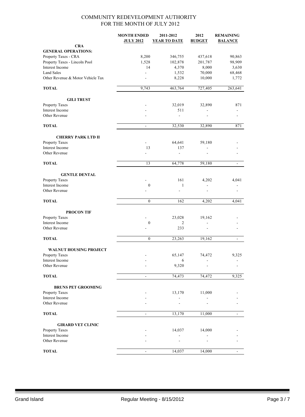|                                                  | <b>MONTH ENDED</b> | 2011-2012           | 2012               | <b>REMAINING</b>         |
|--------------------------------------------------|--------------------|---------------------|--------------------|--------------------------|
|                                                  | <b>JULY 2012</b>   | <b>YEAR TO DATE</b> | <b>BUDGET</b>      | <b>BALANCE</b>           |
| <b>CRA</b>                                       |                    |                     |                    |                          |
| <b>GENERAL OPERATIONS:</b>                       |                    |                     |                    |                          |
| Property Taxes - CRA                             | 8,200              | 346,755             | 437,618<br>201,787 | 90,863                   |
| Property Taxes - Lincoln Pool<br>Interest Income | 1,528<br>14        | 102,878<br>4,370    | 8,000              | 98,909<br>3,630          |
| <b>Land Sales</b>                                |                    | 1,532               | 70,000             | 68,468                   |
| Other Revenue & Motor Vehicle Tax                |                    | 8,228               | 10,000             | 1,772                    |
|                                                  |                    |                     |                    |                          |
| <b>TOTAL</b>                                     | 9,743              | 463,764             | 727,405            | 263,641                  |
| <b>GILI TRUST</b>                                |                    |                     |                    |                          |
| Property Taxes                                   |                    | 32,019              | 32,890             | 871                      |
| Interest Income                                  |                    | 511                 |                    |                          |
| Other Revenue                                    |                    | $\overline{a}$      |                    |                          |
| <b>TOTAL</b>                                     | $\blacksquare$     | 32,530              | 32,890             | 871                      |
| <b>CHERRY PARK LTD II</b>                        |                    |                     |                    |                          |
| Property Taxes                                   |                    | 64,641              | 59,180             |                          |
| Interest Income                                  | 13                 | 137                 | $\frac{1}{2}$      |                          |
| Other Revenue                                    |                    | $\overline{a}$      |                    |                          |
| <b>TOTAL</b>                                     | 13                 | 64,778              | 59,180             | $\blacksquare$           |
| <b>GENTLE DENTAL</b>                             |                    |                     |                    |                          |
| Property Taxes                                   |                    | 161                 | 4,202              | 4,041                    |
| Interest Income                                  | $\boldsymbol{0}$   | $\mathbf{1}$        | ÷.                 |                          |
| Other Revenue                                    |                    |                     |                    |                          |
| <b>TOTAL</b>                                     | $\mathbf{0}$       | 162                 | 4,202              | 4,041                    |
| <b>PROCON TIF</b>                                |                    |                     |                    |                          |
| Property Taxes                                   |                    | 23,028              | 19,162             |                          |
| Interest Income                                  | $\boldsymbol{0}$   | 2                   | $\overline{a}$     |                          |
| Other Revenue                                    |                    | 233                 |                    |                          |
| <b>TOTAL</b>                                     | $\mathbf{0}$       | 23,263              | 19,162             | $\frac{1}{2}$            |
| <b>WALNUT HOUSING PROJECT</b>                    |                    |                     |                    |                          |
| <b>Property Taxes</b>                            |                    | 65,147              | 74,472             | 9,325                    |
| Interest Income                                  |                    | 6                   |                    |                          |
| Other Revenue                                    |                    | 9,320               |                    |                          |
| <b>TOTAL</b>                                     | $\blacksquare$     | 74,473              | 74,472             | 9,325                    |
| <b>BRUNS PET GROOMING</b>                        |                    |                     |                    |                          |
| Property Taxes                                   |                    | 13,170              | 11,000             |                          |
| Interest Income                                  |                    |                     |                    |                          |
| Other Revenue                                    |                    |                     |                    |                          |
| <b>TOTAL</b>                                     | $\blacksquare$     | 13,170              | 11,000             | $\overline{\phantom{a}}$ |
|                                                  |                    |                     |                    |                          |
| <b>GIRARD VET CLINIC</b><br>Property Taxes       |                    | 14,037              | 14,000             |                          |
| Interest Income                                  |                    |                     |                    |                          |
| Other Revenue                                    |                    |                     |                    |                          |
| <b>TOTAL</b>                                     | $\blacksquare$     |                     |                    | $\mathbf{r}$             |
|                                                  |                    | 14,037              | 14,000             |                          |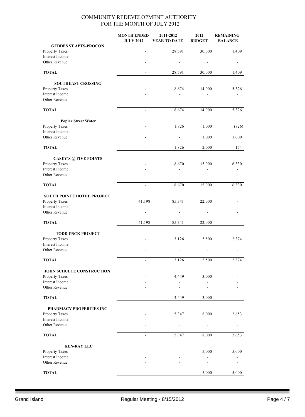|                                   | <b>MONTH ENDED</b>       | 2011-2012                | 2012           | <b>REMAINING</b>         |
|-----------------------------------|--------------------------|--------------------------|----------------|--------------------------|
|                                   | <b>JULY 2012</b>         | YEAR TO DATE             | <b>BUDGET</b>  | <b>BALANCE</b>           |
| <b>GEDDES ST APTS-PROCON</b>      |                          |                          |                |                          |
| Property Taxes                    |                          | 28,591                   | 30,000         | 1,409                    |
| Interest Income                   |                          |                          |                |                          |
| Other Revenue                     |                          |                          |                |                          |
|                                   |                          |                          |                |                          |
| <b>TOTAL</b>                      | $\blacksquare$           | 28,591                   | 30,000         | 1,409                    |
| <b>SOUTHEAST CROSSING</b>         |                          |                          |                |                          |
| Property Taxes                    |                          | 8,674                    | 14,000         | 5,326                    |
| Interest Income                   |                          | $\overline{\phantom{a}}$ | $\frac{1}{2}$  |                          |
| Other Revenue                     |                          |                          |                |                          |
|                                   |                          |                          |                |                          |
| <b>TOTAL</b>                      | ۰                        | 8,674                    | 14,000         | 5,326                    |
|                                   |                          |                          |                |                          |
| <b>Poplar Street Water</b>        |                          |                          |                |                          |
| Property Taxes                    |                          | 1,826                    | 1,000          | (826)                    |
| Interest Income                   |                          | $\overline{\phantom{a}}$ | $\overline{a}$ |                          |
| Other Revenue                     |                          |                          | 1,000          | 1,000                    |
| <b>TOTAL</b>                      | $\blacksquare$           | 1,826                    | 2,000          | 174                      |
|                                   |                          |                          |                |                          |
| <b>CASEY'S @ FIVE POINTS</b>      |                          |                          |                |                          |
| Property Taxes                    |                          | 8,670                    | 15,000         | 6,330                    |
| Interest Income                   |                          |                          |                |                          |
| Other Revenue                     |                          |                          |                |                          |
| <b>TOTAL</b>                      | ÷,                       | 8,670                    | 15,000         | 6,330                    |
|                                   |                          |                          |                |                          |
| <b>SOUTH POINTE HOTEL PROJECT</b> |                          |                          |                |                          |
| Property Taxes                    | 41,198                   | 85,341                   | 22,000         |                          |
| Interest Income                   |                          |                          |                |                          |
| Other Revenue                     |                          |                          |                |                          |
| <b>TOTAL</b>                      | 41,198                   | 85,341                   | 22,000         | $\overline{\phantom{a}}$ |
|                                   |                          |                          |                |                          |
| <b>TODD ENCK PROJECT</b>          |                          |                          |                |                          |
| Property Taxes                    |                          | 3,126                    | 5,500          | 2,374                    |
| Interest Income                   |                          |                          |                |                          |
| Other Revenue                     |                          |                          |                |                          |
|                                   |                          |                          |                |                          |
| <b>TOTAL</b>                      | ÷,                       | 3,126                    | 5,500          | 2,374                    |
| JOHN SCHULTE CONSTRUCTION         |                          |                          |                |                          |
| Property Taxes                    |                          | 4,449                    | 3,000          |                          |
| Interest Income                   |                          |                          |                |                          |
| Other Revenue                     |                          |                          |                |                          |
|                                   |                          |                          |                |                          |
| <b>TOTAL</b>                      |                          | 4,449                    | 3,000          |                          |
| PHARMACY PROPERTIES INC           |                          |                          |                |                          |
| Property Taxes                    |                          | 5,347                    | 8,000          | 2,653                    |
| Interest Income                   |                          |                          |                |                          |
| Other Revenue                     |                          |                          |                |                          |
|                                   |                          |                          |                |                          |
| <b>TOTAL</b>                      | $\overline{\phantom{a}}$ | 5,347                    | 8,000          | 2,653                    |
| <b>KEN-RAY LLC</b>                |                          |                          |                |                          |
| Property Taxes                    |                          |                          | 5,000          | 5,000                    |
| Interest Income                   |                          |                          |                |                          |
| Other Revenue                     |                          |                          |                |                          |
|                                   |                          |                          |                |                          |
| <b>TOTAL</b>                      |                          |                          | 5,000          | 5,000                    |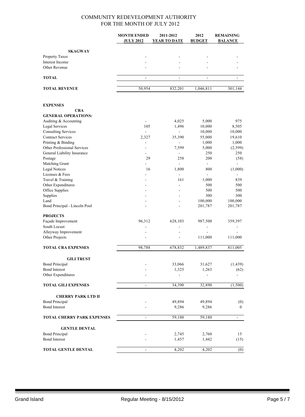|                                   | <b>MONTH ENDED</b>       | 2011-2012                | 2012           | <b>REMAINING</b> |
|-----------------------------------|--------------------------|--------------------------|----------------|------------------|
|                                   | <b>JULY 2012</b>         | <b>YEAR TO DATE</b>      | <b>BUDGET</b>  | <b>BALANCE</b>   |
|                                   |                          |                          |                |                  |
| <b>SKAGWAY</b>                    |                          |                          |                |                  |
| Property Taxes                    |                          |                          |                |                  |
| Interest Income                   |                          |                          |                |                  |
| Other Revenue                     |                          |                          |                |                  |
| <b>TOTAL</b>                      | $\overline{\phantom{a}}$ | $\overline{\phantom{0}}$ |                |                  |
| <b>TOTAL REVENUE</b>              | 50,954                   | 832,201                  | 1,046,811      | 301,144          |
|                                   |                          |                          |                |                  |
| <b>EXPENSES</b>                   |                          |                          |                |                  |
| <b>CRA</b>                        |                          |                          |                |                  |
| <b>GENERAL OPERATIONS:</b>        |                          |                          |                |                  |
| Auditing & Accounting             |                          | 4,025                    | 5,000          | 975              |
| Legal Services                    | 105                      | 1,496                    | 10,000         | 8,505            |
| <b>Consulting Services</b>        | L.                       | $\overline{\phantom{a}}$ | 10,000         | 10,000           |
| <b>Contract Services</b>          | 2,327                    | 35,390                   | 55,000         | 19,610           |
| Printing & Binding                | $\overline{\phantom{a}}$ | $\blacksquare$           | 1,000          | 1,000            |
| Other Professional Services       |                          | 7,599                    | 5,000          | (2, 599)         |
| General Liability Insurance       | $\overline{\phantom{a}}$ | $\overline{\phantom{a}}$ | 250            | 250              |
| Postage                           | 29                       | 258                      | 200            | (58)             |
| Matching Grant                    | ä,                       | $\blacksquare$           | $\blacksquare$ |                  |
| <b>Legal Notices</b>              | 16                       | 1,800                    | 800            | (1,000)          |
| Licenses & Fees                   |                          |                          |                |                  |
| Travel & Training                 |                          | 161                      | 1,000          | 839              |
| Other Expenditures                |                          |                          | 500            | 500              |
| Office Supplies                   |                          |                          | 500            | 500              |
| Supplies                          |                          |                          | 300            | 300              |
| Land                              |                          |                          | 100,000        | 100,000          |
| Bond Principal - Lincoln Pool     |                          |                          | 201,787        | 201,787          |
| <b>PROJECTS</b>                   |                          |                          |                |                  |
| Façade Improvement                | 96,312                   | 628,103                  | 987,500        | 359,397          |
| South Locust                      |                          | $\blacksquare$           |                |                  |
| Alleyway Improvement              |                          | ÷.                       | $\overline{a}$ |                  |
| Other Projects                    |                          |                          | 111,000        | 111,000          |
|                                   |                          |                          |                |                  |
| <b>TOTAL CRA EXPENSES</b>         | 98,788                   | 678,832                  | 1,489,837      | 811,005          |
| <b>GILI TRUST</b>                 |                          |                          |                |                  |
| <b>Bond Principal</b>             |                          | 33,066                   | 31,627         | (1, 439)         |
| <b>Bond Interest</b>              |                          | 1,325                    | 1,263          | (62)             |
| Other Expenditures                |                          |                          |                |                  |
| <b>TOTAL GILI EXPENSES</b>        | $\blacksquare$           | 34,390                   | 32,890         | (1,500)          |
|                                   |                          |                          |                |                  |
| <b>CHERRY PARK LTD II</b>         |                          |                          |                |                  |
| <b>Bond Principal</b>             |                          | 49,894                   | 49,894         | (0)              |
| <b>Bond Interest</b>              |                          | 9,286                    | 9,286          | $\mathbf{0}$     |
| <b>TOTAL CHERRY PARK EXPENSES</b> | $\blacksquare$           | 59,180                   | 59,180         | $\blacksquare$   |
| <b>GENTLE DENTAL</b>              |                          |                          |                |                  |
| <b>Bond Principal</b>             |                          | 2,745                    | 2,760          | 15               |
| <b>Bond Interest</b>              |                          | 1,457                    | 1,442          | (15)             |
| <b>TOTAL GENTLE DENTAL</b>        |                          | 4,202                    | 4,202          | (0)              |
|                                   |                          |                          |                |                  |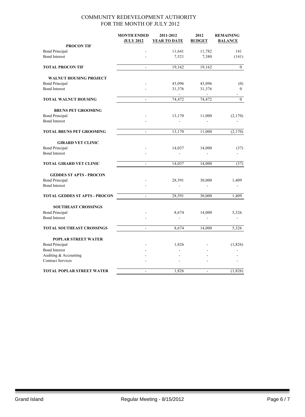|                                               | <b>MONTH ENDED</b><br><b>JULY 2012</b> | 2011-2012<br><b>YEAR TO DATE</b> | 2012<br><b>BUDGET</b>    | <b>REMAINING</b><br><b>BALANCE</b> |
|-----------------------------------------------|----------------------------------------|----------------------------------|--------------------------|------------------------------------|
| <b>PROCON TIF</b>                             |                                        |                                  |                          |                                    |
| <b>Bond Principal</b>                         |                                        | 11,641                           | 11,782                   | 141                                |
| <b>Bond Interest</b>                          |                                        | 7,521                            | 7,380                    | (141)                              |
| <b>TOTAL PROCON TIF</b>                       | ÷,                                     | 19,162                           | 19,162                   | $\mathbf{0}$                       |
| <b>WALNUT HOUSING PROJECT</b>                 |                                        |                                  |                          |                                    |
| <b>Bond Principal</b>                         |                                        | 43,096                           | 43,096                   | (0)                                |
| <b>Bond Interest</b>                          |                                        | 31,376<br>$\sim$                 | 31,376<br>$\overline{a}$ | $\boldsymbol{0}$                   |
| <b>TOTAL WALNUT HOUSING</b>                   | ÷,                                     | 74,472                           | 74,472                   | $\mathbf{0}$                       |
| <b>BRUNS PET GROOMING</b>                     |                                        |                                  |                          |                                    |
| <b>Bond Principal</b><br><b>Bond Interest</b> |                                        | 13,170                           | 11,000                   | (2,170)                            |
| <b>TOTAL BRUNS PET GROOMING</b>               | $\Box$                                 | 13,170                           | 11,000                   | (2,170)                            |
| <b>GIRARD VET CLINIC</b>                      |                                        |                                  |                          |                                    |
| <b>Bond Principal</b>                         |                                        | 14,037                           | 14,000                   | (37)                               |
| <b>Bond Interest</b>                          |                                        |                                  |                          |                                    |
| <b>TOTAL GIRARD VET CLINIC</b>                | $\blacksquare$                         | 14,037                           | 14,000                   | (37)                               |
| <b>GEDDES ST APTS - PROCON</b>                |                                        |                                  |                          |                                    |
| <b>Bond Principal</b>                         |                                        | 28,591                           | 30,000                   | 1,409                              |
| <b>Bond Interest</b>                          |                                        |                                  |                          |                                    |
| <b>TOTAL GEDDES ST APTS - PROCON</b>          | $\blacksquare$                         | 28,591                           | 30,000                   | 1,409                              |
| <b>SOUTHEAST CROSSINGS</b>                    |                                        |                                  |                          |                                    |
| <b>Bond Principal</b>                         |                                        | 8,674                            | 14,000                   | 5,326                              |
| <b>Bond Interest</b>                          |                                        |                                  |                          |                                    |
| <b>TOTAL SOUTHEAST CROSSINGS</b>              | $\overline{a}$                         | 8,674                            | 14,000                   | 5,326                              |
| <b>POPLAR STREET WATER</b>                    |                                        |                                  |                          |                                    |
| <b>Bond Principal</b>                         |                                        | 1,826                            |                          | (1,826)                            |
| <b>Bond Interest</b>                          |                                        | $\sim$                           |                          |                                    |
| Auditing & Accounting                         |                                        |                                  |                          |                                    |
| <b>Contract Services</b>                      |                                        |                                  |                          |                                    |
| <b>TOTAL POPLAR STREET WATER</b>              | $\blacksquare$                         | 1,826                            | $\overline{a}$           | (1, 826)                           |